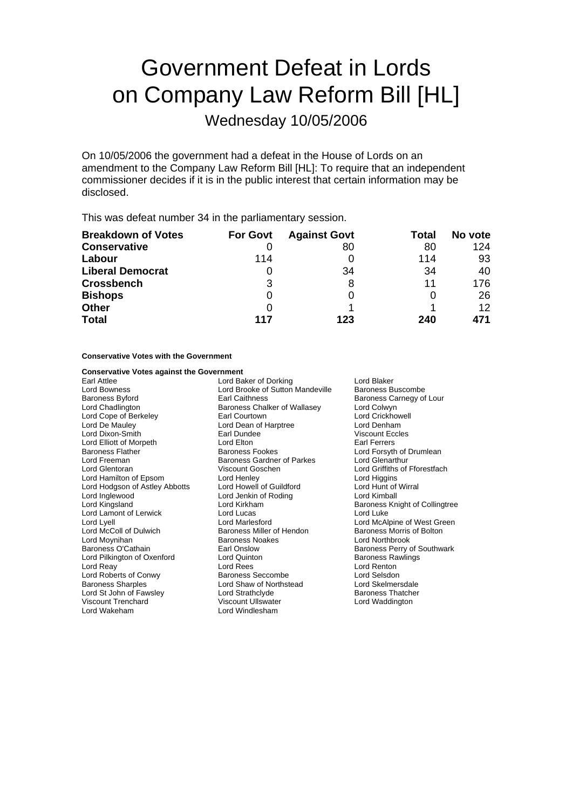# Government Defeat in Lords on Company Law Reform Bill [HL]

Wednesday 10/05/2006

On 10/05/2006 the government had a defeat in the House of Lords on an amendment to the Company Law Reform Bill [HL]: To require that an independent commissioner decides if it is in the public interest that certain information may be disclosed.

This was defeat number 34 in the parliamentary session.

| <b>Breakdown of Votes</b> | <b>For Govt</b> | <b>Against Govt</b> | Total | No vote           |
|---------------------------|-----------------|---------------------|-------|-------------------|
| <b>Conservative</b>       |                 | 80                  | 80    | 124               |
| Labour                    | 114             |                     | 114   | 93                |
| <b>Liberal Democrat</b>   | O               | 34                  | 34    | 40                |
| <b>Crossbench</b>         | 3               |                     | 11    | 176               |
| <b>Bishops</b>            | 0               |                     | O     | 26                |
| <b>Other</b>              | $\Omega$        |                     |       | $12 \overline{ }$ |
| <b>Total</b>              | 117             | 123                 | 240   | 471               |

### **Conservative Votes with the Government**

| <b>Conservative Votes against the Government</b> |                                  |                                |  |
|--------------------------------------------------|----------------------------------|--------------------------------|--|
| <b>Farl Attlee</b>                               | Lord Baker of Dorking            | Lord Blaker                    |  |
| <b>Lord Bowness</b>                              | Lord Brooke of Sutton Mandeville | Baroness Buscombe              |  |
| <b>Baroness Byford</b>                           | <b>Earl Caithness</b>            | Baroness Carnegy of Lour       |  |
| Lord Chadlington                                 | Baroness Chalker of Wallasey     | Lord Colwyn                    |  |
| Lord Cope of Berkeley                            | Earl Courtown                    | Lord Crickhowell               |  |
| Lord De Mauley                                   | Lord Dean of Harptree            | Lord Denham                    |  |
| Lord Dixon-Smith                                 | Earl Dundee                      | <b>Viscount Eccles</b>         |  |
| Lord Elliott of Morpeth                          | Lord Elton                       | <b>Earl Ferrers</b>            |  |
| <b>Baroness Flather</b>                          | <b>Baroness Fookes</b>           | Lord Forsyth of Drumlean       |  |
| Lord Freeman                                     | Baroness Gardner of Parkes       | Lord Glenarthur                |  |
| Lord Glentoran                                   | Viscount Goschen                 | Lord Griffiths of Fforestfach  |  |
| Lord Hamilton of Epsom                           | Lord Henley                      | Lord Higgins                   |  |
| Lord Hodgson of Astley Abbotts                   | Lord Howell of Guildford         | Lord Hunt of Wirral            |  |
| Lord Inglewood                                   | Lord Jenkin of Roding            | Lord Kimball                   |  |
| Lord Kingsland                                   | Lord Kirkham                     | Baroness Knight of Collingtree |  |
| Lord Lamont of Lerwick                           | Lord Lucas                       | Lord Luke                      |  |
| Lord Lyell                                       | Lord Marlesford                  | Lord McAlpine of West Green    |  |
| Lord McColl of Dulwich                           | Baroness Miller of Hendon        | Baroness Morris of Bolton      |  |
| Lord Moynihan                                    | <b>Baroness Noakes</b>           | Lord Northbrook                |  |
| Baroness O'Cathain                               | Earl Onslow                      | Baroness Perry of Southwark    |  |
| Lord Pilkington of Oxenford                      | Lord Quinton                     | <b>Baroness Rawlings</b>       |  |
| Lord Reay                                        | Lord Rees                        | Lord Renton                    |  |
| Lord Roberts of Conwy                            | Baroness Seccombe                | Lord Selsdon                   |  |
| <b>Baroness Sharples</b>                         | Lord Shaw of Northstead          | Lord Skelmersdale              |  |
| Lord St John of Fawsley                          | Lord Strathclyde                 | <b>Baroness Thatcher</b>       |  |
| <b>Viscount Trenchard</b>                        | Viscount Ullswater               | Lord Waddington                |  |
| Lord Wakeham                                     | Lord Windlesham                  |                                |  |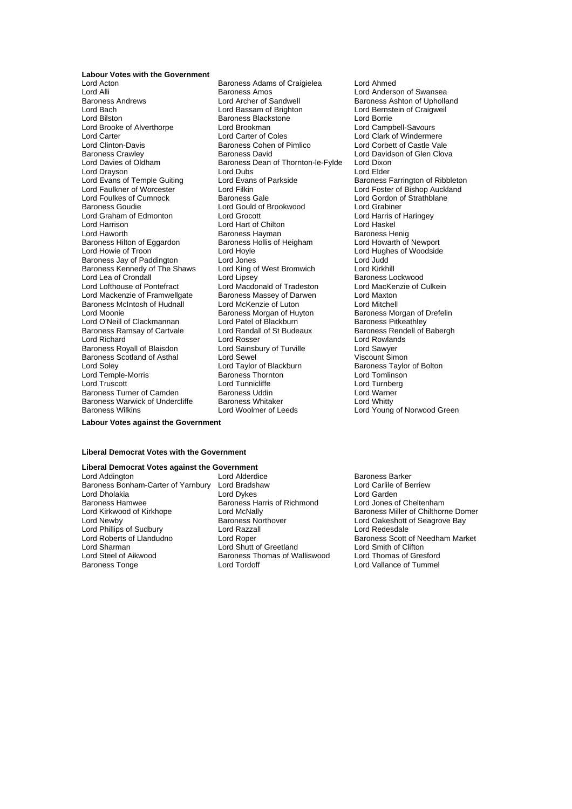## **Labour Votes with the Government**<br>**Lord Acton**

Lord Brooke of Alverthorpe Lord Brookman<br>
Lord Carter Lord Carter of Coles Baroness Hilton of Eggardon Baroness Hollis of Heigham Lord Howarth of Newport Baroness Kennedy of The Shaws Lord King of<br>
Lord Lea of Crondall Brom Lord Lipsey Baroness Ramsay of Cartvale Baroness Scotland of Asthal Lord Sewel<br>
Lord Soley Cord Taylor of Blackburn Baroness Warwick of Undercliffe Baroness Whitaker<br>Baroness Wilkins Baroness Lord Woolmer of Leeds

Lord Acton **Calcular Baroness Adams of Craigielea** Lord Ahmed<br>
Lord Alli **Calcular Baroness Amos** Cord Anders Lord Alli **Lord Alli Baroness Amos** Cord Anderson of Swansea<br>Baroness Andrews **Lord Archer of Sandwell** Baroness Ashton of Upholla Lord Bach Lord Bassam of Brighton Lord Bernstein of Craigweil Baroness Blackstone<br>
Lord Brookman<br>
Lord Campbell-Savours Lord Carter Lord Carter of Coles Lord Clark of Windermere Lord Clinton-Davis **Example 2** Baroness Cohen of Pimlico **Lord Corbett of Castle Vale**<br>Baroness Crawley **Baroness David** Baroness David Lord Davidson of Glen Clov Baroness Crawley **Baroness David** Baroness David Lord Davidson of Glen Clova<br>
Lord Davies of Oldham Baroness Dean of Thornton-le-Fylde Lord Dixon Baroness Dean of Thornton-le-Fylde Lord Drayson **Lord Dubs** Lord Dubs Lord Elder<br>
Lord Evans of Temple Guiting Lord Evans of Parkside **Lord Example Baroness** Lord Evans of Temple Guiting Lord Evans of Parkside Baroness Farrington of Ribbleton<br>
Lord Faulkner of Worcester Lord Filkin Lord Ford Foster of Bishop Auckland Lord Faulkner of Worcester (Edition Lord Filkin Lord Foster of Bishop Auckland Lord Foster of Bishop Auckland<br>Lord Foulkes of Cumnock (Baroness Gale Baroness Goudie Lord Gould of Brookwood Lord Grabiner Lord Graham of Edmonton Lord Grocott Lord Grocott Lord Harris of Chilton Cord Harris of Lord Haskel Lord Hart of Chilton Lord Haworth **Call Communist Baroness Hayman**<br>Baroness Hilton of Eggardon Baroness Hollis of Heigham **Baroness Hollis of Henigham** Lord Howarth of Newport Lord Hoyle **Lord Hughes of Woodside**<br>Lord Jones **Lord Lord Hughes of Woodside** Baroness Jay of Paddington Lord Jones<br>Baroness Kennedy of The Shaws Lord King of West Bromwich Lord Kirkhill Lord Lea of Crondall **Lord Lord Lipsey** Cord Lipsey **Baroness Lockwood**<br>
Lord Lofthouse of Pontefract Lord Macdonald of Tradeston Lord MacKenzie of Culkein Lord Macdonald of Tradeston<br>Baroness Massey of Darwen Lord Mackenzie of Framwellgate Baroness Massey of Darwen **Repart Lord Maxton** Baroness McIntosh of Hudnall Lord McKenzie of Luton Corress McIntosh Lord Mitchell<br>Lord Moonie Corress Morgan of Huvton Baroness Mo Baroness Morgan of Huyton Baroness Morgan of Drefelin<br>
Lord Patel of Blackburn Baroness Pitkeathley Lord O'Neill of Clackmannan Lord Patel of Blackburn Baroness Pitkeathley<br>Baroness Ramsay of Cartvale Lord Randall of St Budeaux Baroness Rendell of Babergh Lord Richard **Lord Rosser** Lord Rosser Lord Rowlands<br>
Baroness Royall of Blaisdon **Lord Sainsbury of Turville** Lord Sawyer Baroness Royall of Blaisdon and Lord Sainsbury of Turville and Lord Sawyer<br>Baroness Scotland of Asthal and Lord Sewel and Lord Sement Simon Lord Soley **Lord Taylor of Blackburn** Baroness Taylor of Bolton<br>
Lord Temple-Morris **Baroness Thornton** Baroness Thornton Lord Tomlinson Lord Temple-Morris Baroness Thornton Lord Tomlinson Lord Tunnicliffe **Lord Tunnicliffe** Lord Turnberg<br>Baroness Uddin Lord Warner Baroness Turner of Camden Baroness Uddin Corner and Lord Warner<br>
Baroness Warwick of Undercliffe Baroness Whitaker Corner Lord Whitty

Baroness Ashton of Upholland Lord Gordon of Strathblane Lord Young of Norwood Green

**Labour Votes against the Government**

#### **Liberal Democrat Votes with the Government**

## **Liberal Democrat Votes against the Government**<br>
Lord Addington **Lord Alderdice**

Lord Addington **Lord Addington** Lord Alderdice **Constructs** Baroness Barker<br>Baroness Bonham-Carter of Yarnbury Lord Bradshaw **Barch Lord Carlile of Berriew** Baroness Bonham-Carter of Yarnbury Lord Bradshaw a Lord Carlile c<br>Lord Dholakia **a Lord Carlile of Berriew Cord Carli**le of Berriew Berriew Berriew Berriew Lord Carden Lord Dholakia **Lord Dykes** Lord Dykes Lord Garden<br>
Baroness Hamwee **Baroness Harris of Richmond** Lord Jones of Cheltenham Baroness Hamwee<br>
Lord Kirkwood of Kirkhope<br>
Lord McNally Lord Phillips of Sudbury<br>Lord Roberts of Llandudno Lord Sharman **Lord Shutt of Greetland** Lord Smith of Clifton<br>
Lord Steel of Aikwood **Baroness Thomas of Walliswood** Lord Thomas of Gresford

Baroness Northover **Lord Oakeshott of Seagrove Bay**<br>
Lord Razzall<br>
Lord Redesdale Baroness Thomas of Walliswood<br>Lord Tordoff Baroness Tonge The Lord Tordoff Contact Lord Tummel Lord Vallance of Tummel

Lord Kirkwood of Kirkhope Lord McNally **Baroness Miller of Chilthorne Domer**<br>
Lord Newby Baroness Northover **Baroness Northorne Lord Oakeshott of Seagrove Bay** Lord Roper **Lord Roper** Baroness Scott of Needham Market